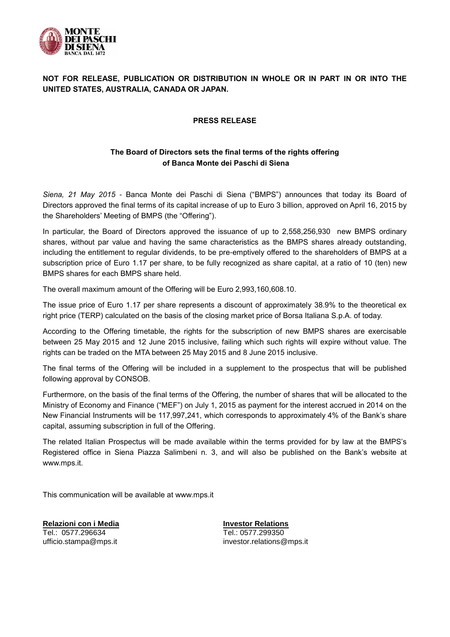

## **NOT FOR RELEASE, PUBLICATION OR DISTRIBUTION IN WHOLE OR IN PART IN OR INTO THE UNITED STATES, AUSTRALIA, CANADA OR JAPAN.**

## **PRESS RELEASE**

## **The Board of Directors sets the final terms of the rights offering of Banca Monte dei Paschi di Siena**

*Siena, 21 May 2015* - Banca Monte dei Paschi di Siena ("BMPS") announces that today its Board of Directors approved the final terms of its capital increase of up to Euro 3 billion, approved on April 16, 2015 by the Shareholders' Meeting of BMPS (the "Offering").

In particular, the Board of Directors approved the issuance of up to 2,558,256,930 new BMPS ordinary shares, without par value and having the same characteristics as the BMPS shares already outstanding, including the entitlement to regular dividends, to be pre-emptively offered to the shareholders of BMPS at a subscription price of Euro 1.17 per share, to be fully recognized as share capital, at a ratio of 10 (ten) new BMPS shares for each BMPS share held.

The overall maximum amount of the Offering will be Euro 2,993,160,608.10.

The issue price of Euro 1.17 per share represents a discount of approximately 38.9% to the theoretical ex right price (TERP) calculated on the basis of the closing market price of Borsa Italiana S.p.A. of today.

According to the Offering timetable, the rights for the subscription of new BMPS shares are exercisable between 25 May 2015 and 12 June 2015 inclusive, failing which such rights will expire without value. The rights can be traded on the MTA between 25 May 2015 and 8 June 2015 inclusive.

The final terms of the Offering will be included in a supplement to the prospectus that will be published following approval by CONSOB.

Furthermore, on the basis of the final terms of the Offering, the number of shares that will be allocated to the Ministry of Economy and Finance ("MEF") on July 1, 2015 as payment for the interest accrued in 2014 on the New Financial Instruments will be 117,997,241, which corresponds to approximately 4% of the Bank's share capital, assuming subscription in full of the Offering.

The related Italian Prospectus will be made available within the terms provided for by law at the BMPS's Registered office in Siena Piazza Salimbeni n. 3, and will also be published on the Bank's website at www.mps.it.

This communication will be available at www.mps.it

**Relazioni con i Media** Tel.: 0577.296634 ufficio.stampa@mps.it

**Investor Relations** Tel.: 0577.299350 investor.relations@mps.it